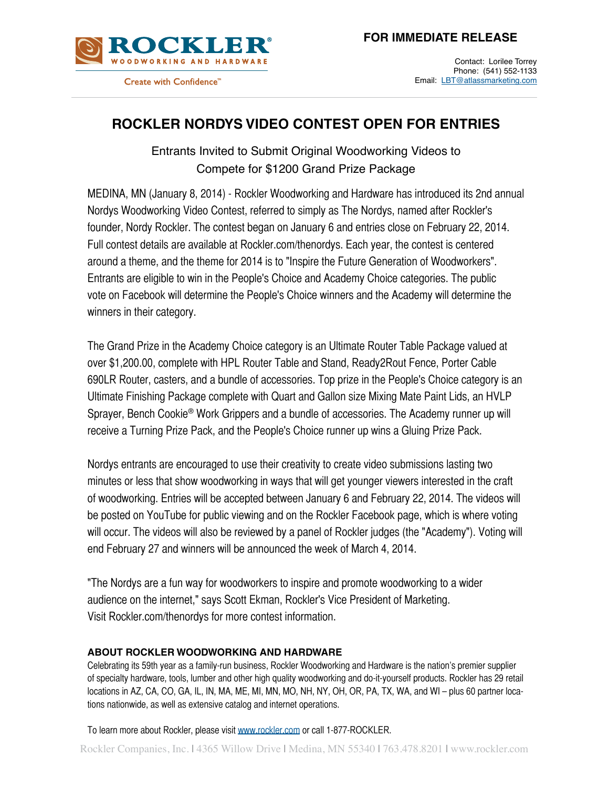



Create with Confidence"

Contact: Lorilee Torrey Phone: (541) 552-1133 Email: LBT[@atlassmarketing.com](mailto:lbt@atlassmarketing)

## **ROCKLER NORDYS VIDEO CONTEST OPEN FOR ENTRIES**

Entrants Invited to Submit Original Woodworking Videos to Compete for \$1200 Grand Prize Package

MEDINA, MN (January 8, 2014) - Rockler Woodworking and Hardware has introduced its 2nd annual Nordys Woodworking Video Contest, referred to simply as The Nordys, named after Rockler's founder, Nordy Rockler. The contest began on January 6 and entries close on February 22, 2014. Full contest details are available at Rockler.com/thenordys. Each year, the contest is centered around a theme, and the theme for 2014 is to "Inspire the Future Generation of Woodworkers". Entrants are eligible to win in the People's Choice and Academy Choice categories. The public vote on Facebook will determine the People's Choice winners and the Academy will determine the winners in their category.

The Grand Prize in the Academy Choice category is an Ultimate Router Table Package valued at over \$1,200.00, complete with HPL Router Table and Stand, Ready2Rout Fence, Porter Cable 690LR Router, casters, and a bundle of accessories. Top prize in the People's Choice category is an Ultimate Finishing Package complete with Quart and Gallon size Mixing Mate Paint Lids, an HVLP Sprayer, Bench Cookie® Work Grippers and a bundle of accessories. The Academy runner up will receive a Turning Prize Pack, and the People's Choice runner up wins a Gluing Prize Pack.

Nordys entrants are encouraged to use their creativity to create video submissions lasting two minutes or less that show woodworking in ways that will get younger viewers interested in the craft of woodworking. Entries will be accepted between January 6 and February 22, 2014. The videos will be posted on YouTube for public viewing and on the Rockler Facebook page, which is where voting will occur. The videos will also be reviewed by a panel of Rockler judges (the "Academy"). Voting will end February 27 and winners will be announced the week of March 4, 2014.

"The Nordys are a fun way for woodworkers to inspire and promote woodworking to a wider audience on the internet," says Scott Ekman, Rockler's Vice President of Marketing. Visit Rockler.com/thenordys for more contest information.

## **ABOUT ROCKLER WOODWORKING AND HARDWARE**

Celebrating its 59th year as a family-run business, Rockler Woodworking and Hardware is the nation's premier supplier of specialty hardware, tools, lumber and other high quality woodworking and do-it-yourself products. Rockler has 29 retail locations in AZ, CA, CO, GA, IL, IN, MA, ME, MI, MN, MO, NH, NY, OH, OR, PA, TX, WA, and WI – plus 60 partner locations nationwide, as well as extensive catalog and internet operations.

To learn more about Rockler, please visit<www.rockler.com>or call 1-877-ROCKLER.